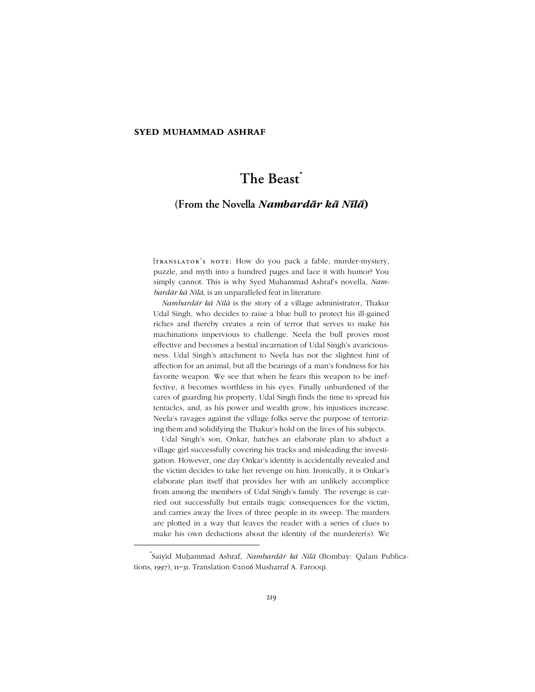# **syed muhammad ashraf**

# **The Beast \***

# **(From the Novella** *Nambardār kā Nīlā***)**

[TRANSLATOR'S NOTE: How do you pack a fable, murder-mystery, puzzle, and myth into a hundred pages and lace it with humor? You simply cannot. This is why Syed Muhammad Ashraf's novella, Nam*bardār kā Nīlā*, is an unparalleled feat in literature.

*Nambardār kā Nīlā* is the story of a village administrator, Thakur Udal Singh, who decides to raise a blue bull to protect his ill-gained riches and thereby creates a rein of terror that serves to make his machinations impervious to challenge. Neela the bull proves most effective and becomes a bestial incarnation of Udal Singh's avariciousness. Udal Singh's attachment to Neela has not the slightest hint of affection for an animal, but all the bearings of a man's fondness for his favorite weapon. We see that when he fears this weapon to be ineffective, it becomes worthless in his eyes. Finally unburdened of the cares of guarding his property, Udal Singh finds the time to spread his tentacles, and, as his power and wealth grow, his injustices increase. Neela's ravages against the village folks serve the purpose of terrorizing them and solidifying the Thakur's hold on the lives of his subjects.

Udal Singh's son, Onkar, hatches an elaborate plan to abduct a village girl successfully covering his tracks and misleading the investigation. However, one day Onkar's identity is accidentally revealed and the victim decides to take her revenge on him. Ironically, it is Onkar's elaborate plan itself that provides her with an unlikely accomplice from among the members of Udal Singh's family. The revenge is carried out successfully but entails tragic consequences for the victim, and carries away the lives of three people in its sweep. The murders are plotted in a way that leaves the reader with a series of clues to make his own deductions about the identity of the murderer(s). We

-

<sup>\*</sup> Saiyid Muḥammad Ashraf, *Nambardār kā Nīlā* (Bombay: Qalam Publications, 1997), 11-31. Translation ©2006 Musharraf A. Farooqi.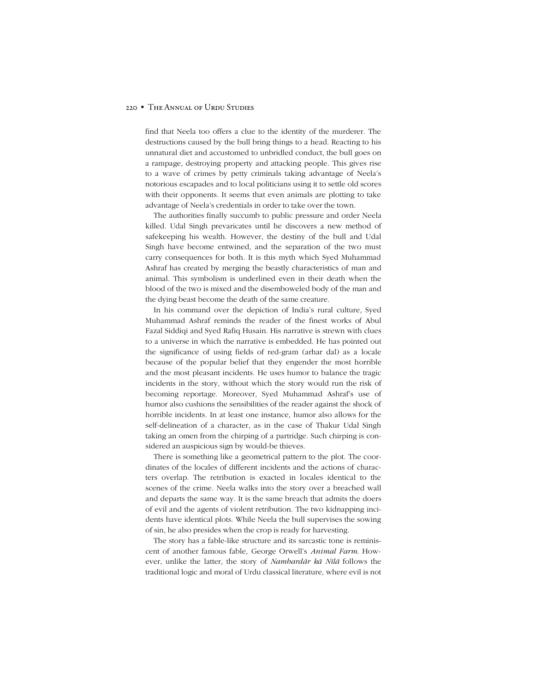#### 220 • THE ANNUAL OF URDU STUDIES

find that Neela too offers a clue to the identity of the murderer. The destructions caused by the bull bring things to a head. Reacting to his unnatural diet and accustomed to unbridled conduct, the bull goes on a rampage, destroying property and attacking people. This gives rise to a wave of crimes by petty criminals taking advantage of Neelaís notorious escapades and to local politicians using it to settle old scores with their opponents. It seems that even animals are plotting to take advantage of Neelaís credentials in order to take over the town.

The authorities finally succumb to public pressure and order Neela killed. Udal Singh prevaricates until he discovers a new method of safekeeping his wealth. However, the destiny of the bull and Udal Singh have become entwined, and the separation of the two must carry consequences for both. It is this myth which Syed Muhammad Ashraf has created by merging the beastly characteristics of man and animal. This symbolism is underlined even in their death when the blood of the two is mixed and the disemboweled body of the man and the dying beast become the death of the same creature.

In his command over the depiction of India's rural culture, Syed Muhammad Ashraf reminds the reader of the finest works of Abul Fazal Siddiqi and Syed Rafiq Husain. His narrative is strewn with clues to a universe in which the narrative is embedded. He has pointed out the significance of using fields of red-gram (arhar dal) as a locale because of the popular belief that they engender the most horrible and the most pleasant incidents. He uses humor to balance the tragic incidents in the story, without which the story would run the risk of becoming reportage. Moreover, Syed Muhammad Ashraf's use of humor also cushions the sensibilities of the reader against the shock of horrible incidents. In at least one instance, humor also allows for the self-delineation of a character, as in the case of Thakur Udal Singh taking an omen from the chirping of a partridge. Such chirping is considered an auspicious sign by would-be thieves.

There is something like a geometrical pattern to the plot. The coordinates of the locales of different incidents and the actions of characters overlap. The retribution is exacted in locales identical to the scenes of the crime. Neela walks into the story over a breached wall and departs the same way. It is the same breach that admits the doers of evil and the agents of violent retribution. The two kidnapping incidents have identical plots. While Neela the bull supervises the sowing of sin, he also presides when the crop is ready for harvesting.

The story has a fable-like structure and its sarcastic tone is reminiscent of another famous fable, George Orwell's *Animal Farm*. However, unlike the latter, the story of *Nambardār kā Nīlā* follows the traditional logic and moral of Urdu classical literature, where evil is not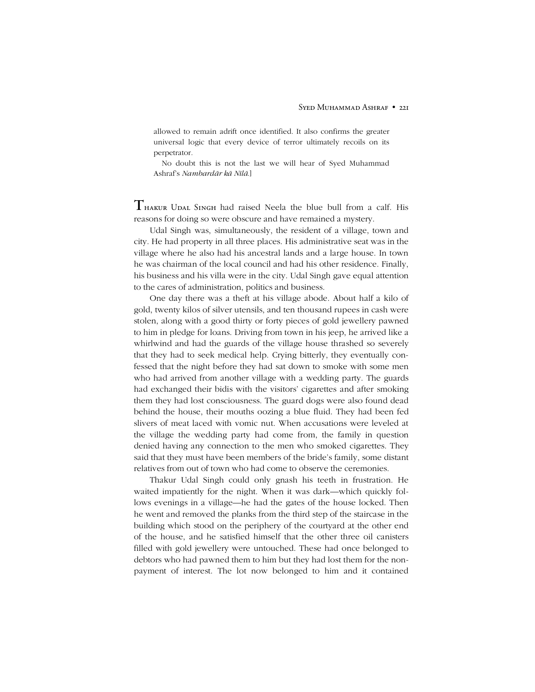allowed to remain adrift once identified. It also confirms the greater universal logic that every device of terror ultimately recoils on its perpetrator.

No doubt this is not the last we will hear of Syed Muhammad Ashrafís *Nambardār kā Nīlā*.]

 $T$ <sub>HAKUR</sub> UDAL SINGH had raised Neela the blue bull from a calf. His reasons for doing so were obscure and have remained a mystery.

Udal Singh was, simultaneously, the resident of a village, town and city. He had property in all three places. His administrative seat was in the village where he also had his ancestral lands and a large house. In town he was chairman of the local council and had his other residence. Finally, his business and his villa were in the city. Udal Singh gave equal attention to the cares of administration, politics and business.

One day there was a theft at his village abode. About half a kilo of gold, twenty kilos of silver utensils, and ten thousand rupees in cash were stolen, along with a good thirty or forty pieces of gold jewellery pawned to him in pledge for loans. Driving from town in his jeep, he arrived like a whirlwind and had the guards of the village house thrashed so severely that they had to seek medical help. Crying bitterly, they eventually confessed that the night before they had sat down to smoke with some men who had arrived from another village with a wedding party. The guards had exchanged their bidis with the visitors' cigarettes and after smoking them they had lost consciousness. The guard dogs were also found dead behind the house, their mouths oozing a blue fluid. They had been fed slivers of meat laced with vomic nut. When accusations were leveled at the village the wedding party had come from, the family in question denied having any connection to the men who smoked cigarettes. They said that they must have been members of the bride's family, some distant relatives from out of town who had come to observe the ceremonies.

Thakur Udal Singh could only gnash his teeth in frustration. He waited impatiently for the night. When it was dark—which quickly follows evenings in a village—he had the gates of the house locked. Then he went and removed the planks from the third step of the staircase in the building which stood on the periphery of the courtyard at the other end of the house, and he satisfied himself that the other three oil canisters filled with gold jewellery were untouched. These had once belonged to debtors who had pawned them to him but they had lost them for the nonpayment of interest. The lot now belonged to him and it contained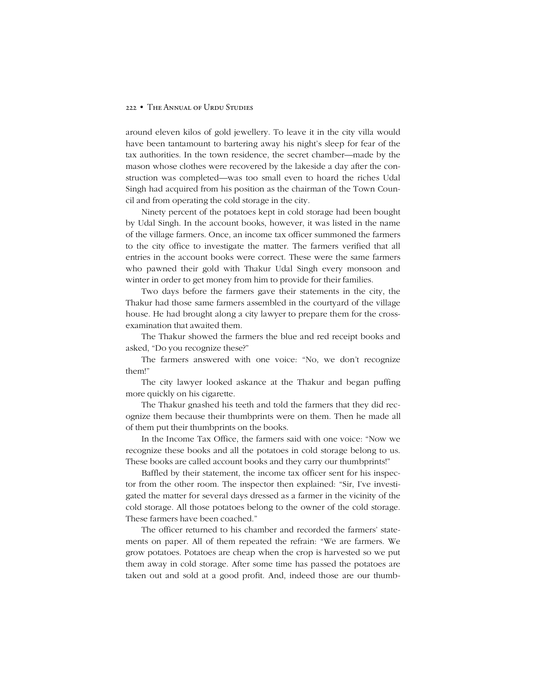## 222 • THE ANNUAL OF URDU STUDIES

around eleven kilos of gold jewellery. To leave it in the city villa would have been tantamount to bartering away his night's sleep for fear of the tax authorities. In the town residence, the secret chamber—made by the mason whose clothes were recovered by the lakeside a day after the construction was completed—was too small even to hoard the riches Udal Singh had acquired from his position as the chairman of the Town Council and from operating the cold storage in the city.

Ninety percent of the potatoes kept in cold storage had been bought by Udal Singh. In the account books, however, it was listed in the name of the village farmers. Once, an income tax officer summoned the farmers to the city office to investigate the matter. The farmers verified that all entries in the account books were correct. These were the same farmers who pawned their gold with Thakur Udal Singh every monsoon and winter in order to get money from him to provide for their families.

Two days before the farmers gave their statements in the city, the Thakur had those same farmers assembled in the courtyard of the village house. He had brought along a city lawyer to prepare them for the crossexamination that awaited them.

The Thakur showed the farmers the blue and red receipt books and asked, "Do you recognize these?"

The farmers answered with one voice: "No, we don't recognize them!"

The city lawyer looked askance at the Thakur and began puffing more quickly on his cigarette.

The Thakur gnashed his teeth and told the farmers that they did recognize them because their thumbprints were on them. Then he made all of them put their thumbprints on the books.

In the Income Tax Office, the farmers said with one voice: "Now we recognize these books and all the potatoes in cold storage belong to us. These books are called account books and they carry our thumbprints!"

Baffled by their statement, the income tax officer sent for his inspector from the other room. The inspector then explained: "Sir, I've investigated the matter for several days dressed as a farmer in the vicinity of the cold storage. All those potatoes belong to the owner of the cold storage. These farmers have been coached."

The officer returned to his chamber and recorded the farmers' statements on paper. All of them repeated the refrain: "We are farmers. We grow potatoes. Potatoes are cheap when the crop is harvested so we put them away in cold storage. After some time has passed the potatoes are taken out and sold at a good profit. And, indeed those are our thumb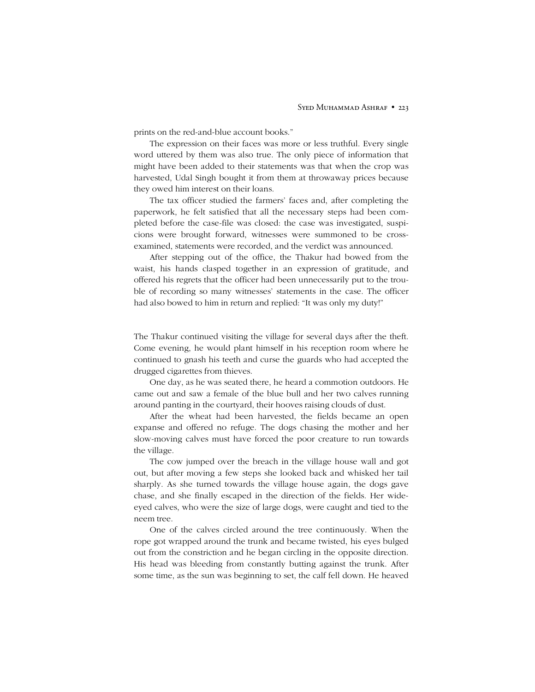prints on the red-and-blue account books."

The expression on their faces was more or less truthful. Every single word uttered by them was also true. The only piece of information that might have been added to their statements was that when the crop was harvested, Udal Singh bought it from them at throwaway prices because they owed him interest on their loans.

The tax officer studied the farmers' faces and, after completing the paperwork, he felt satisfied that all the necessary steps had been completed before the case-file was closed: the case was investigated, suspicions were brought forward, witnesses were summoned to be crossexamined, statements were recorded, and the verdict was announced.

After stepping out of the office, the Thakur had bowed from the waist, his hands clasped together in an expression of gratitude, and offered his regrets that the officer had been unnecessarily put to the trouble of recording so many witnesses' statements in the case. The officer had also bowed to him in return and replied: "It was only my duty!"

The Thakur continued visiting the village for several days after the theft. Come evening, he would plant himself in his reception room where he continued to gnash his teeth and curse the guards who had accepted the drugged cigarettes from thieves.

One day, as he was seated there, he heard a commotion outdoors. He came out and saw a female of the blue bull and her two calves running around panting in the courtyard, their hooves raising clouds of dust.

After the wheat had been harvested, the fields became an open expanse and offered no refuge. The dogs chasing the mother and her slow-moving calves must have forced the poor creature to run towards the village.

The cow jumped over the breach in the village house wall and got out, but after moving a few steps she looked back and whisked her tail sharply. As she turned towards the village house again, the dogs gave chase, and she finally escaped in the direction of the fields. Her wideeyed calves, who were the size of large dogs, were caught and tied to the neem tree.

One of the calves circled around the tree continuously. When the rope got wrapped around the trunk and became twisted, his eyes bulged out from the constriction and he began circling in the opposite direction. His head was bleeding from constantly butting against the trunk. After some time, as the sun was beginning to set, the calf fell down. He heaved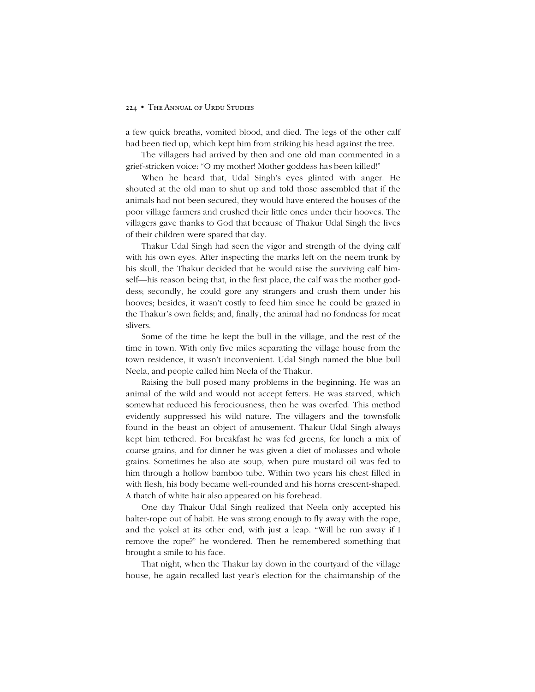a few quick breaths, vomited blood, and died. The legs of the other calf had been tied up, which kept him from striking his head against the tree.

The villagers had arrived by then and one old man commented in a grief-stricken voice: "O my mother! Mother goddess has been killed!"

When he heard that, Udal Singh's eyes glinted with anger. He shouted at the old man to shut up and told those assembled that if the animals had not been secured, they would have entered the houses of the poor village farmers and crushed their little ones under their hooves. The villagers gave thanks to God that because of Thakur Udal Singh the lives of their children were spared that day.

Thakur Udal Singh had seen the vigor and strength of the dying calf with his own eyes. After inspecting the marks left on the neem trunk by his skull, the Thakur decided that he would raise the surviving calf himself—his reason being that, in the first place, the calf was the mother goddess; secondly, he could gore any strangers and crush them under his hooves; besides, it wasn't costly to feed him since he could be grazed in the Thakur's own fields; and, finally, the animal had no fondness for meat slivers.

Some of the time he kept the bull in the village, and the rest of the time in town. With only five miles separating the village house from the town residence, it wasn't inconvenient. Udal Singh named the blue bull Neela, and people called him Neela of the Thakur.

Raising the bull posed many problems in the beginning. He was an animal of the wild and would not accept fetters. He was starved, which somewhat reduced his ferociousness, then he was overfed. This method evidently suppressed his wild nature. The villagers and the townsfolk found in the beast an object of amusement. Thakur Udal Singh always kept him tethered. For breakfast he was fed greens, for lunch a mix of coarse grains, and for dinner he was given a diet of molasses and whole grains. Sometimes he also ate soup, when pure mustard oil was fed to him through a hollow bamboo tube. Within two years his chest filled in with flesh, his body became well-rounded and his horns crescent-shaped. A thatch of white hair also appeared on his forehead.

One day Thakur Udal Singh realized that Neela only accepted his halter-rope out of habit. He was strong enough to fly away with the rope, and the yokel at its other end, with just a leap. "Will he run away if I remove the rope?" he wondered. Then he remembered something that brought a smile to his face.

That night, when the Thakur lay down in the courtyard of the village house, he again recalled last year's election for the chairmanship of the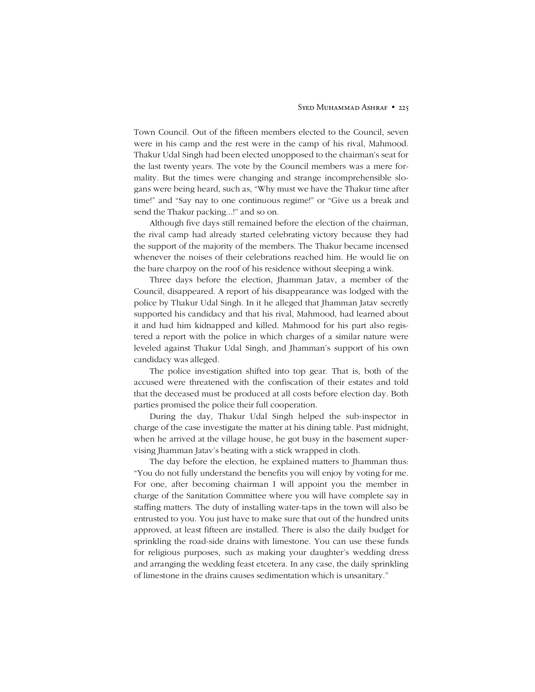#### SYED MUHAMMAD ASHRAF • 225

Town Council. Out of the fifteen members elected to the Council, seven were in his camp and the rest were in the camp of his rival, Mahmood. Thakur Udal Singh had been elected unopposed to the chairman's seat for the last twenty years. The vote by the Council members was a mere formality. But the times were changing and strange incomprehensible slogans were being heard, such as, "Why must we have the Thakur time after time!" and "Say nay to one continuous regime!" or "Give us a break and send the Thakur packing...!" and so on.

Although five days still remained before the election of the chairman, the rival camp had already started celebrating victory because they had the support of the majority of the members. The Thakur became incensed whenever the noises of their celebrations reached him. He would lie on the bare charpoy on the roof of his residence without sleeping a wink.

Three days before the election, Jhamman Jatav, a member of the Council, disappeared. A report of his disappearance was lodged with the police by Thakur Udal Singh. In it he alleged that Jhamman Jatav secretly supported his candidacy and that his rival, Mahmood, had learned about it and had him kidnapped and killed. Mahmood for his part also registered a report with the police in which charges of a similar nature were leveled against Thakur Udal Singh, and Jhamman's support of his own candidacy was alleged.

The police investigation shifted into top gear. That is, both of the accused were threatened with the confiscation of their estates and told that the deceased must be produced at all costs before election day. Both parties promised the police their full cooperation.

During the day, Thakur Udal Singh helped the sub-inspector in charge of the case investigate the matter at his dining table. Past midnight, when he arrived at the village house, he got busy in the basement supervising Jhamman Jatav's beating with a stick wrapped in cloth.

The day before the election, he explained matters to Jhamman thus: ìYou do not fully understand the benefits you will enjoy by voting for me. For one, after becoming chairman I will appoint you the member in charge of the Sanitation Committee where you will have complete say in staffing matters. The duty of installing water-taps in the town will also be entrusted to you. You just have to make sure that out of the hundred units approved, at least fifteen are installed. There is also the daily budget for sprinkling the road-side drains with limestone. You can use these funds for religious purposes, such as making your daughter's wedding dress and arranging the wedding feast etcetera. In any case, the daily sprinkling of limestone in the drains causes sedimentation which is unsanitary."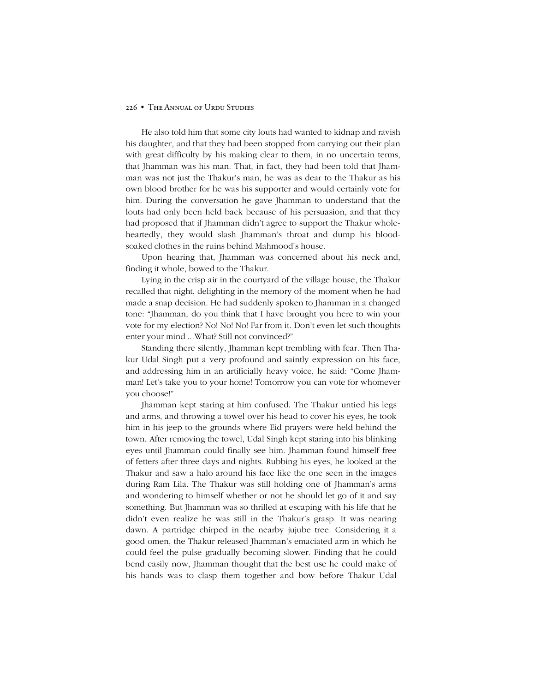## 226 • THE ANNUAL OF URDU STUDIES

He also told him that some city louts had wanted to kidnap and ravish his daughter, and that they had been stopped from carrying out their plan with great difficulty by his making clear to them, in no uncertain terms, that Jhamman was his man. That, in fact, they had been told that Jhamman was not just the Thakur's man, he was as dear to the Thakur as his own blood brother for he was his supporter and would certainly vote for him. During the conversation he gave Jhamman to understand that the louts had only been held back because of his persuasion, and that they had proposed that if Jhamman didn't agree to support the Thakur wholeheartedly, they would slash Jhamman's throat and dump his bloodsoaked clothes in the ruins behind Mahmood's house.

Upon hearing that, Jhamman was concerned about his neck and, finding it whole, bowed to the Thakur.

Lying in the crisp air in the courtyard of the village house, the Thakur recalled that night, delighting in the memory of the moment when he had made a snap decision. He had suddenly spoken to Jhamman in a changed tone: "Jhamman, do you think that I have brought you here to win your vote for my election? No! No! No! Far from it. Don't even let such thoughts enter your mind ... What? Still not convinced?"

Standing there silently, Jhamman kept trembling with fear. Then Thakur Udal Singh put a very profound and saintly expression on his face, and addressing him in an artificially heavy voice, he said: "Come Jhamman! Let's take you to your home! Tomorrow you can vote for whomever you choose!"

Jhamman kept staring at him confused. The Thakur untied his legs and arms, and throwing a towel over his head to cover his eyes, he took him in his jeep to the grounds where Eid prayers were held behind the town. After removing the towel, Udal Singh kept staring into his blinking eyes until Jhamman could finally see him. Jhamman found himself free of fetters after three days and nights. Rubbing his eyes, he looked at the Thakur and saw a halo around his face like the one seen in the images during Ram Lila. The Thakur was still holding one of Jhamman's arms and wondering to himself whether or not he should let go of it and say something. But Jhamman was so thrilled at escaping with his life that he didn't even realize he was still in the Thakur's grasp. It was nearing dawn. A partridge chirped in the nearby jujube tree. Considering it a good omen, the Thakur released Jhamman's emaciated arm in which he could feel the pulse gradually becoming slower. Finding that he could bend easily now, Jhamman thought that the best use he could make of his hands was to clasp them together and bow before Thakur Udal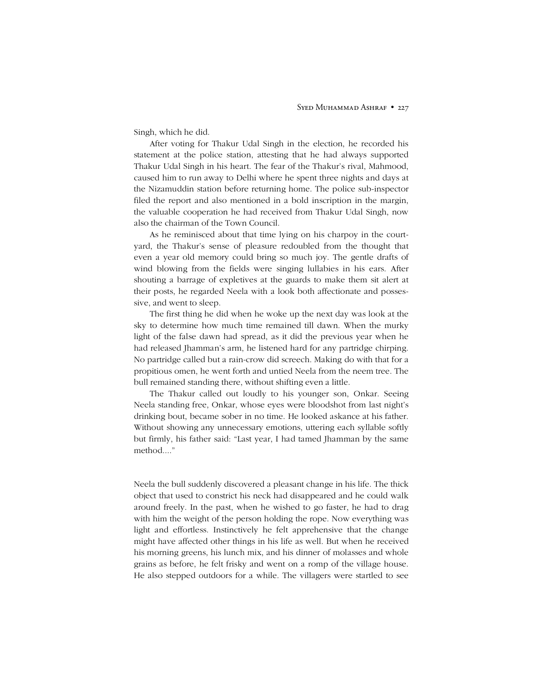Singh, which he did.

After voting for Thakur Udal Singh in the election, he recorded his statement at the police station, attesting that he had always supported Thakur Udal Singh in his heart. The fear of the Thakur's rival, Mahmood, caused him to run away to Delhi where he spent three nights and days at the Nizamuddin station before returning home. The police sub-inspector filed the report and also mentioned in a bold inscription in the margin, the valuable cooperation he had received from Thakur Udal Singh, now also the chairman of the Town Council.

As he reminisced about that time lying on his charpoy in the courtyard, the Thakur's sense of pleasure redoubled from the thought that even a year old memory could bring so much joy. The gentle drafts of wind blowing from the fields were singing lullabies in his ears. After shouting a barrage of expletives at the guards to make them sit alert at their posts, he regarded Neela with a look both affectionate and possessive, and went to sleep.

The first thing he did when he woke up the next day was look at the sky to determine how much time remained till dawn. When the murky light of the false dawn had spread, as it did the previous year when he had released Jhamman's arm, he listened hard for any partridge chirping. No partridge called but a rain-crow did screech. Making do with that for a propitious omen, he went forth and untied Neela from the neem tree. The bull remained standing there, without shifting even a little.

The Thakur called out loudly to his younger son, Onkar. Seeing Neela standing free, Onkar, whose eyes were bloodshot from last night's drinking bout, became sober in no time. He looked askance at his father. Without showing any unnecessary emotions, uttering each syllable softly but firmly, his father said: "Last year, I had tamed Jhamman by the same method...."

Neela the bull suddenly discovered a pleasant change in his life. The thick object that used to constrict his neck had disappeared and he could walk around freely. In the past, when he wished to go faster, he had to drag with him the weight of the person holding the rope. Now everything was light and effortless. Instinctively he felt apprehensive that the change might have affected other things in his life as well. But when he received his morning greens, his lunch mix, and his dinner of molasses and whole grains as before, he felt frisky and went on a romp of the village house. He also stepped outdoors for a while. The villagers were startled to see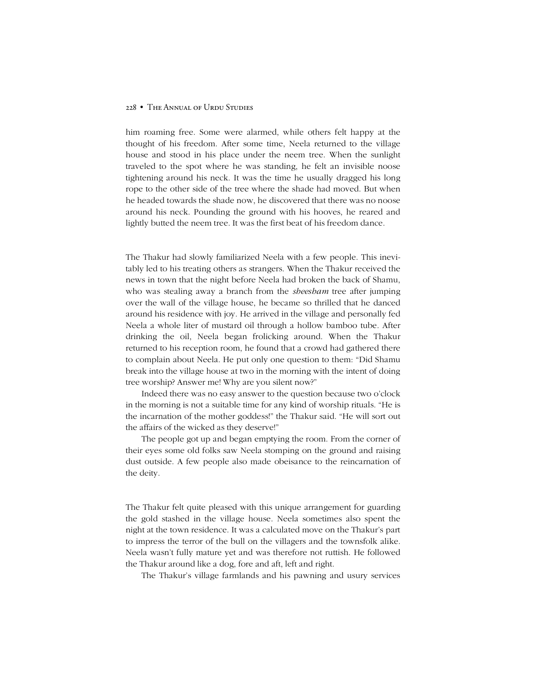him roaming free. Some were alarmed, while others felt happy at the thought of his freedom. After some time, Neela returned to the village house and stood in his place under the neem tree. When the sunlight traveled to the spot where he was standing, he felt an invisible noose tightening around his neck. It was the time he usually dragged his long rope to the other side of the tree where the shade had moved. But when he headed towards the shade now, he discovered that there was no noose around his neck. Pounding the ground with his hooves, he reared and lightly butted the neem tree. It was the first beat of his freedom dance.

The Thakur had slowly familiarized Neela with a few people. This inevitably led to his treating others as strangers. When the Thakur received the news in town that the night before Neela had broken the back of Shamu, who was stealing away a branch from the *sheesham* tree after jumping over the wall of the village house, he became so thrilled that he danced around his residence with joy. He arrived in the village and personally fed Neela a whole liter of mustard oil through a hollow bamboo tube. After drinking the oil, Neela began frolicking around. When the Thakur returned to his reception room, he found that a crowd had gathered there to complain about Neela. He put only one question to them: "Did Shamu break into the village house at two in the morning with the intent of doing tree worship? Answer me! Why are you silent now?"

Indeed there was no easy answer to the question because two o'clock in the morning is not a suitable time for any kind of worship rituals. "He is the incarnation of the mother goddess!" the Thakur said. "He will sort out the affairs of the wicked as they deserve!"

The people got up and began emptying the room. From the corner of their eyes some old folks saw Neela stomping on the ground and raising dust outside. A few people also made obeisance to the reincarnation of the deity.

The Thakur felt quite pleased with this unique arrangement for guarding the gold stashed in the village house. Neela sometimes also spent the night at the town residence. It was a calculated move on the Thakur's part to impress the terror of the bull on the villagers and the townsfolk alike. Neela wasn't fully mature yet and was therefore not ruttish. He followed the Thakur around like a dog, fore and aft, left and right.

The Thakur's village farmlands and his pawning and usury services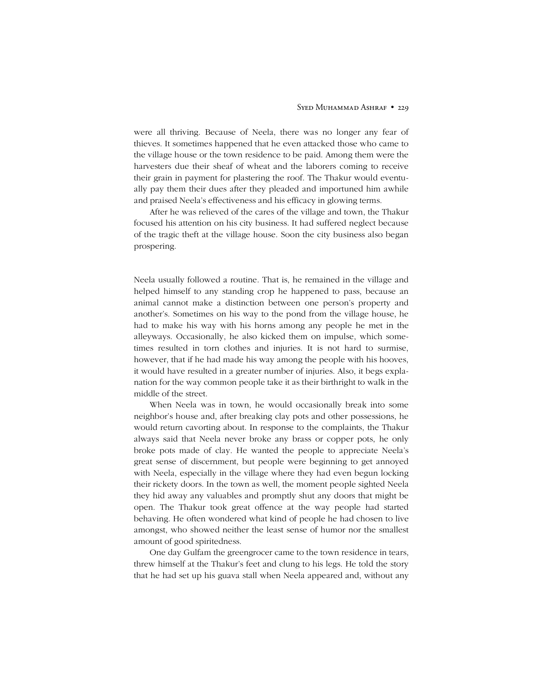were all thriving. Because of Neela, there was no longer any fear of thieves. It sometimes happened that he even attacked those who came to the village house or the town residence to be paid. Among them were the harvesters due their sheaf of wheat and the laborers coming to receive their grain in payment for plastering the roof. The Thakur would eventually pay them their dues after they pleaded and importuned him awhile and praised Neelaís effectiveness and his efficacy in glowing terms.

After he was relieved of the cares of the village and town, the Thakur focused his attention on his city business. It had suffered neglect because of the tragic theft at the village house. Soon the city business also began prospering.

Neela usually followed a routine. That is, he remained in the village and helped himself to any standing crop he happened to pass, because an animal cannot make a distinction between one person's property and another's. Sometimes on his way to the pond from the village house, he had to make his way with his horns among any people he met in the alleyways. Occasionally, he also kicked them on impulse, which sometimes resulted in torn clothes and injuries. It is not hard to surmise, however, that if he had made his way among the people with his hooves, it would have resulted in a greater number of injuries. Also, it begs explanation for the way common people take it as their birthright to walk in the middle of the street.

When Neela was in town, he would occasionally break into some neighbor's house and, after breaking clay pots and other possessions, he would return cavorting about. In response to the complaints, the Thakur always said that Neela never broke any brass or copper pots, he only broke pots made of clay. He wanted the people to appreciate Neelaís great sense of discernment, but people were beginning to get annoyed with Neela, especially in the village where they had even begun locking their rickety doors. In the town as well, the moment people sighted Neela they hid away any valuables and promptly shut any doors that might be open. The Thakur took great offence at the way people had started behaving. He often wondered what kind of people he had chosen to live amongst, who showed neither the least sense of humor nor the smallest amount of good spiritedness.

One day Gulfam the greengrocer came to the town residence in tears, threw himself at the Thakur's feet and clung to his legs. He told the story that he had set up his guava stall when Neela appeared and, without any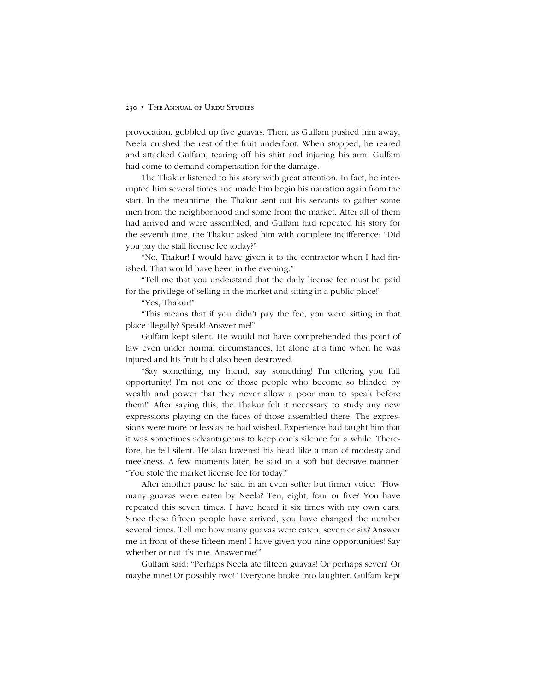provocation, gobbled up five guavas. Then, as Gulfam pushed him away, Neela crushed the rest of the fruit underfoot. When stopped, he reared and attacked Gulfam, tearing off his shirt and injuring his arm. Gulfam had come to demand compensation for the damage.

The Thakur listened to his story with great attention. In fact, he interrupted him several times and made him begin his narration again from the start. In the meantime, the Thakur sent out his servants to gather some men from the neighborhood and some from the market. After all of them had arrived and were assembled, and Gulfam had repeated his story for the seventh time, the Thakur asked him with complete indifference: "Did you pay the stall license fee today?"

"No, Thakur! I would have given it to the contractor when I had finished. That would have been in the evening."

ìTell me that you understand that the daily license fee must be paid for the privilege of selling in the market and sitting in a public place!"

"Yes, Thakur!"

ìThis means that if you didnít pay the fee, you were sitting in that place illegally? Speak! Answer me!"

Gulfam kept silent. He would not have comprehended this point of law even under normal circumstances, let alone at a time when he was injured and his fruit had also been destroyed.

ìSay something, my friend, say something! Iím offering you full opportunity! Iím not one of those people who become so blinded by wealth and power that they never allow a poor man to speak before them!" After saying this, the Thakur felt it necessary to study any new expressions playing on the faces of those assembled there. The expressions were more or less as he had wished. Experience had taught him that it was sometimes advantageous to keep one's silence for a while. Therefore, he fell silent. He also lowered his head like a man of modesty and meekness. A few moments later, he said in a soft but decisive manner: "You stole the market license fee for today!"

After another pause he said in an even softer but firmer voice: "How many guavas were eaten by Neela? Ten, eight, four or five? You have repeated this seven times. I have heard it six times with my own ears. Since these fifteen people have arrived, you have changed the number several times. Tell me how many guavas were eaten, seven or six? Answer me in front of these fifteen men! I have given you nine opportunities! Say whether or not it's true. Answer me!"

Gulfam said: "Perhaps Neela ate fifteen guavas! Or perhaps seven! Or maybe nine! Or possibly two!" Everyone broke into laughter. Gulfam kept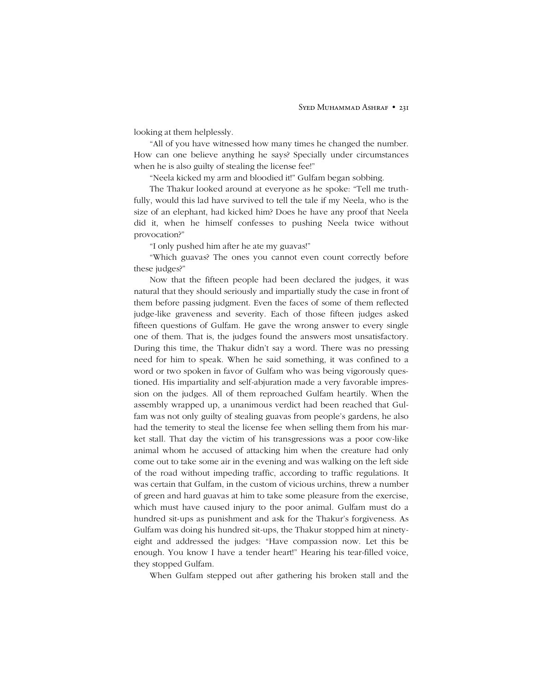looking at them helplessly.

ìAll of you have witnessed how many times he changed the number. How can one believe anything he says? Specially under circumstances when he is also guilty of stealing the license fee!"

"Neela kicked my arm and bloodied it!" Gulfam began sobbing.

The Thakur looked around at everyone as he spoke: "Tell me truthfully, would this lad have survived to tell the tale if my Neela, who is the size of an elephant, had kicked him? Does he have any proof that Neela did it, when he himself confesses to pushing Neela twice without provocation?"

"I only pushed him after he ate my guavas!"

ìWhich guavas? The ones you cannot even count correctly before these judges?"

Now that the fifteen people had been declared the judges, it was natural that they should seriously and impartially study the case in front of them before passing judgment. Even the faces of some of them reflected judge-like graveness and severity. Each of those fifteen judges asked fifteen questions of Gulfam. He gave the wrong answer to every single one of them. That is, the judges found the answers most unsatisfactory. During this time, the Thakur didn't say a word. There was no pressing need for him to speak. When he said something, it was confined to a word or two spoken in favor of Gulfam who was being vigorously questioned. His impartiality and self-abjuration made a very favorable impression on the judges. All of them reproached Gulfam heartily. When the assembly wrapped up, a unanimous verdict had been reached that Gulfam was not only guilty of stealing guavas from people's gardens, he also had the temerity to steal the license fee when selling them from his market stall. That day the victim of his transgressions was a poor cow-like animal whom he accused of attacking him when the creature had only come out to take some air in the evening and was walking on the left side of the road without impeding traffic, according to traffic regulations. It was certain that Gulfam, in the custom of vicious urchins, threw a number of green and hard guavas at him to take some pleasure from the exercise, which must have caused injury to the poor animal. Gulfam must do a hundred sit-ups as punishment and ask for the Thakur's forgiveness. As Gulfam was doing his hundred sit-ups, the Thakur stopped him at ninetyeight and addressed the judges: "Have compassion now. Let this be enough. You know I have a tender heart!" Hearing his tear-filled voice, they stopped Gulfam.

When Gulfam stepped out after gathering his broken stall and the